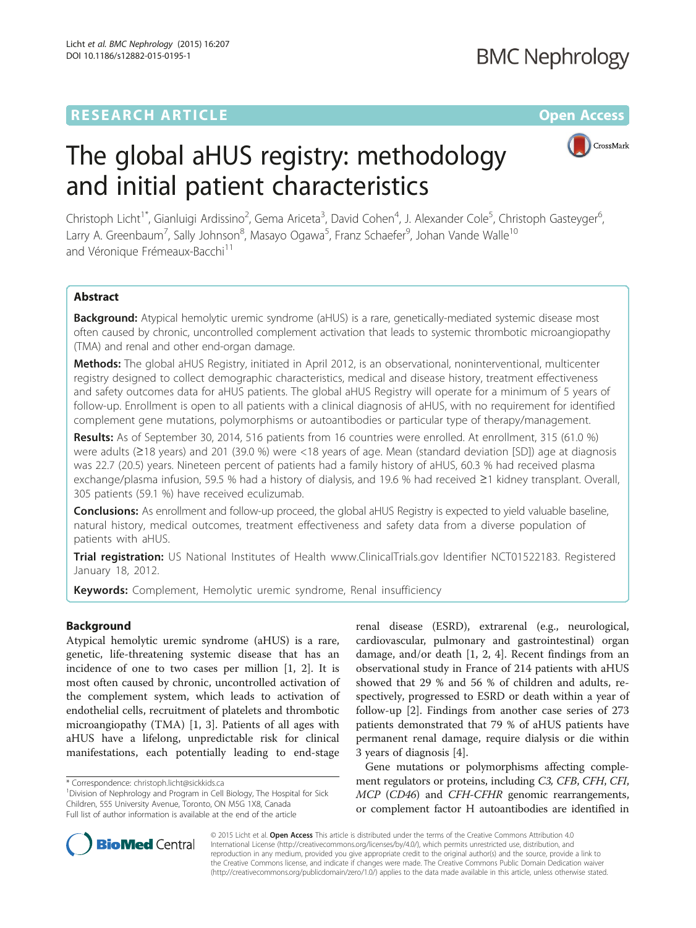## **RESEARCH ARTICLE Example 2014 12:30 The Contract of Contract ACCESS**

**BMC Nephrology** 



# The global aHUS registry: methodology and initial patient characteristics

Christoph Licht<sup>1\*</sup>, Gianluigi Ardissino<sup>2</sup>, Gema Ariceta<sup>3</sup>, David Cohen<sup>4</sup>, J. Alexander Cole<sup>5</sup>, Christoph Gasteyger<sup>6</sup> , Larry A. Greenbaum<sup>7</sup>, Sally Johnson<sup>8</sup>, Masayo Ogawa<sup>5</sup>, Franz Schaefer<sup>9</sup>, Johan Vande Walle<sup>10</sup> and Véronique Frémeaux-Bacchi<sup>11</sup>

## Abstract

**Background:** Atypical hemolytic uremic syndrome (aHUS) is a rare, genetically-mediated systemic disease most often caused by chronic, uncontrolled complement activation that leads to systemic thrombotic microangiopathy (TMA) and renal and other end-organ damage.

Methods: The global aHUS Registry, initiated in April 2012, is an observational, noninterventional, multicenter registry designed to collect demographic characteristics, medical and disease history, treatment effectiveness and safety outcomes data for aHUS patients. The global aHUS Registry will operate for a minimum of 5 years of follow-up. Enrollment is open to all patients with a clinical diagnosis of aHUS, with no requirement for identified complement gene mutations, polymorphisms or autoantibodies or particular type of therapy/management.

Results: As of September 30, 2014, 516 patients from 16 countries were enrolled. At enrollment, 315 (61.0 %) were adults (≥18 years) and 201 (39.0 %) were <18 years of age. Mean (standard deviation [SD]) age at diagnosis was 22.7 (20.5) years. Nineteen percent of patients had a family history of aHUS, 60.3 % had received plasma exchange/plasma infusion, 59.5 % had a history of dialysis, and 19.6 % had received ≥1 kidney transplant. Overall, 305 patients (59.1 %) have received eculizumab.

Conclusions: As enrollment and follow-up proceed, the global aHUS Registry is expected to yield valuable baseline, natural history, medical outcomes, treatment effectiveness and safety data from a diverse population of patients with aHUS.

Trial registration: US National Institutes of Health [www.ClinicalTrials.gov](http://www.clinicaltrials.gov) Identifier [NCT01522183.](https://www.clinicaltrials.gov/ct2/results?term=NCT01522183&Search=Search) Registered January 18, 2012.

Keywords: Complement, Hemolytic uremic syndrome, Renal insufficiency

### Background

Atypical hemolytic uremic syndrome (aHUS) is a rare, genetic, life-threatening systemic disease that has an incidence of one to two cases per million [\[1](#page-6-0), [2\]](#page-6-0). It is most often caused by chronic, uncontrolled activation of the complement system, which leads to activation of endothelial cells, recruitment of platelets and thrombotic microangiopathy (TMA) [\[1](#page-6-0), [3\]](#page-6-0). Patients of all ages with aHUS have a lifelong, unpredictable risk for clinical manifestations, each potentially leading to end-stage

renal disease (ESRD), extrarenal (e.g., neurological, cardiovascular, pulmonary and gastrointestinal) organ damage, and/or death [\[1](#page-6-0), [2, 4\]](#page-6-0). Recent findings from an observational study in France of 214 patients with aHUS showed that 29 % and 56 % of children and adults, respectively, progressed to ESRD or death within a year of follow-up [\[2](#page-6-0)]. Findings from another case series of 273 patients demonstrated that 79 % of aHUS patients have permanent renal damage, require dialysis or die within 3 years of diagnosis [[4\]](#page-6-0).

Gene mutations or polymorphisms affecting complement regulators or proteins, including C3, CFB, CFH, CFI, MCP (CD46) and CFH-CFHR genomic rearrangements, or complement factor H autoantibodies are identified in



© 2015 Licht et al. Open Access This article is distributed under the terms of the Creative Commons Attribution 4.0 International License [\(http://creativecommons.org/licenses/by/4.0/](http://creativecommons.org/licenses/by/4.0/)), which permits unrestricted use, distribution, and reproduction in any medium, provided you give appropriate credit to the original author(s) and the source, provide a link to the Creative Commons license, and indicate if changes were made. The Creative Commons Public Domain Dedication waiver [\(http://creativecommons.org/publicdomain/zero/1.0/](http://creativecommons.org/publicdomain/zero/1.0/)) applies to the data made available in this article, unless otherwise stated.

<sup>\*</sup> Correspondence: [christoph.licht@sickkids.ca](mailto:christoph.licht@sickkids.ca) <sup>1</sup>

<sup>&</sup>lt;sup>1</sup> Division of Nephrology and Program in Cell Biology, The Hospital for Sick Children, 555 University Avenue, Toronto, ON M5G 1X8, Canada Full list of author information is available at the end of the article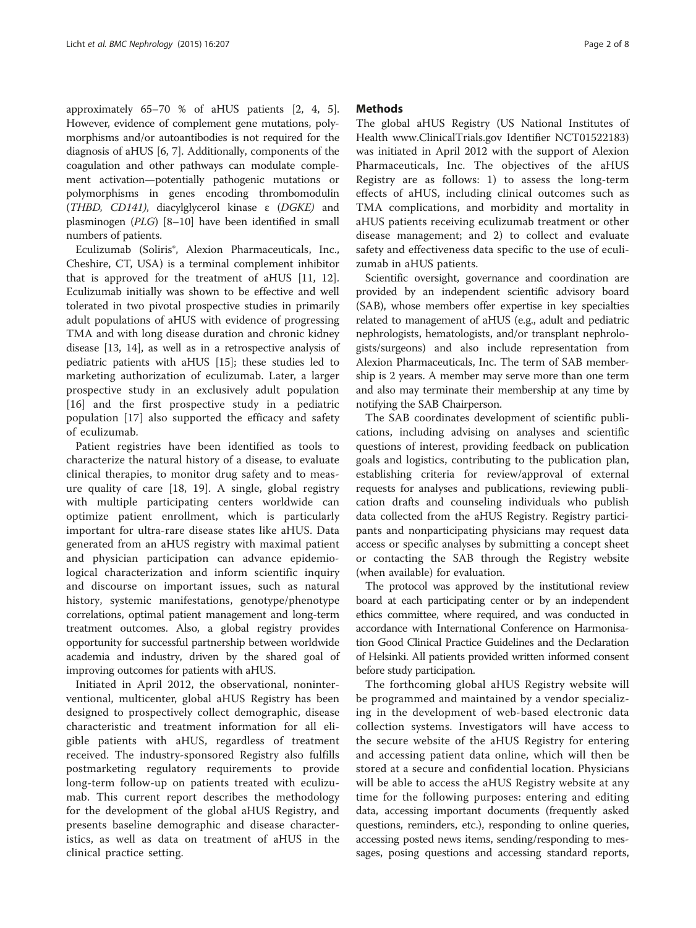approximately 65–70 % of aHUS patients [\[2, 4, 5](#page-6-0)]. However, evidence of complement gene mutations, polymorphisms and/or autoantibodies is not required for the diagnosis of aHUS [\[6](#page-6-0), [7](#page-6-0)]. Additionally, components of the coagulation and other pathways can modulate complement activation—potentially pathogenic mutations or polymorphisms in genes encoding thrombomodulin (THBD, CD141), diacylglycerol kinase ε (DGKE) and plasminogen (PLG) [[8](#page-6-0)–[10](#page-6-0)] have been identified in small numbers of patients.

Eculizumab (Soliris®, Alexion Pharmaceuticals, Inc., Cheshire, CT, USA) is a terminal complement inhibitor that is approved for the treatment of aHUS [\[11](#page-6-0), [12](#page-6-0)]. Eculizumab initially was shown to be effective and well tolerated in two pivotal prospective studies in primarily adult populations of aHUS with evidence of progressing TMA and with long disease duration and chronic kidney disease [\[13, 14\]](#page-6-0), as well as in a retrospective analysis of pediatric patients with aHUS [\[15](#page-6-0)]; these studies led to marketing authorization of eculizumab. Later, a larger prospective study in an exclusively adult population [[16\]](#page-6-0) and the first prospective study in a pediatric population [\[17](#page-6-0)] also supported the efficacy and safety of eculizumab.

Patient registries have been identified as tools to characterize the natural history of a disease, to evaluate clinical therapies, to monitor drug safety and to measure quality of care [[18, 19](#page-6-0)]. A single, global registry with multiple participating centers worldwide can optimize patient enrollment, which is particularly important for ultra-rare disease states like aHUS. Data generated from an aHUS registry with maximal patient and physician participation can advance epidemiological characterization and inform scientific inquiry and discourse on important issues, such as natural history, systemic manifestations, genotype/phenotype correlations, optimal patient management and long-term treatment outcomes. Also, a global registry provides opportunity for successful partnership between worldwide academia and industry, driven by the shared goal of improving outcomes for patients with aHUS.

Initiated in April 2012, the observational, noninterventional, multicenter, global aHUS Registry has been designed to prospectively collect demographic, disease characteristic and treatment information for all eligible patients with aHUS, regardless of treatment received. The industry-sponsored Registry also fulfills postmarketing regulatory requirements to provide long-term follow-up on patients treated with eculizumab. This current report describes the methodology for the development of the global aHUS Registry, and presents baseline demographic and disease characteristics, as well as data on treatment of aHUS in the clinical practice setting.

#### **Methods**

The global aHUS Registry (US National Institutes of Health [www.ClinicalTrials.gov](http://www.clinicaltrials.gov) Identifier NCT01522183) was initiated in April 2012 with the support of Alexion Pharmaceuticals, Inc. The objectives of the aHUS Registry are as follows: 1) to assess the long-term effects of aHUS, including clinical outcomes such as TMA complications, and morbidity and mortality in aHUS patients receiving eculizumab treatment or other disease management; and 2) to collect and evaluate safety and effectiveness data specific to the use of eculizumab in aHUS patients.

Scientific oversight, governance and coordination are provided by an independent scientific advisory board (SAB), whose members offer expertise in key specialties related to management of aHUS (e.g., adult and pediatric nephrologists, hematologists, and/or transplant nephrologists/surgeons) and also include representation from Alexion Pharmaceuticals, Inc. The term of SAB membership is 2 years. A member may serve more than one term and also may terminate their membership at any time by notifying the SAB Chairperson.

The SAB coordinates development of scientific publications, including advising on analyses and scientific questions of interest, providing feedback on publication goals and logistics, contributing to the publication plan, establishing criteria for review/approval of external requests for analyses and publications, reviewing publication drafts and counseling individuals who publish data collected from the aHUS Registry. Registry participants and nonparticipating physicians may request data access or specific analyses by submitting a concept sheet or contacting the SAB through the Registry website (when available) for evaluation.

The protocol was approved by the institutional review board at each participating center or by an independent ethics committee, where required, and was conducted in accordance with International Conference on Harmonisation Good Clinical Practice Guidelines and the Declaration of Helsinki. All patients provided written informed consent before study participation.

The forthcoming global aHUS Registry website will be programmed and maintained by a vendor specializing in the development of web-based electronic data collection systems. Investigators will have access to the secure website of the aHUS Registry for entering and accessing patient data online, which will then be stored at a secure and confidential location. Physicians will be able to access the aHUS Registry website at any time for the following purposes: entering and editing data, accessing important documents (frequently asked questions, reminders, etc.), responding to online queries, accessing posted news items, sending/responding to messages, posing questions and accessing standard reports,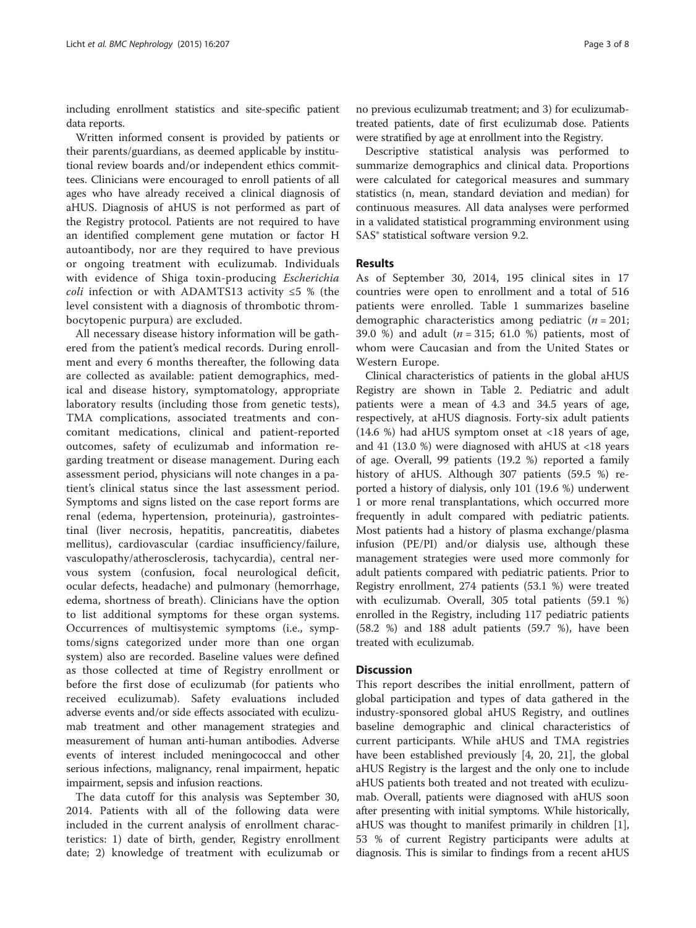including enrollment statistics and site-specific patient data reports.

Written informed consent is provided by patients or their parents/guardians, as deemed applicable by institutional review boards and/or independent ethics committees. Clinicians were encouraged to enroll patients of all ages who have already received a clinical diagnosis of aHUS. Diagnosis of aHUS is not performed as part of the Registry protocol. Patients are not required to have an identified complement gene mutation or factor H autoantibody, nor are they required to have previous or ongoing treatment with eculizumab. Individuals with evidence of Shiga toxin-producing Escherichia *coli* infection or with ADAMTS13 activity  $\leq 5$  % (the level consistent with a diagnosis of thrombotic thrombocytopenic purpura) are excluded.

All necessary disease history information will be gathered from the patient's medical records. During enrollment and every 6 months thereafter, the following data are collected as available: patient demographics, medical and disease history, symptomatology, appropriate laboratory results (including those from genetic tests), TMA complications, associated treatments and concomitant medications, clinical and patient-reported outcomes, safety of eculizumab and information regarding treatment or disease management. During each assessment period, physicians will note changes in a patient's clinical status since the last assessment period. Symptoms and signs listed on the case report forms are renal (edema, hypertension, proteinuria), gastrointestinal (liver necrosis, hepatitis, pancreatitis, diabetes mellitus), cardiovascular (cardiac insufficiency/failure, vasculopathy/atherosclerosis, tachycardia), central nervous system (confusion, focal neurological deficit, ocular defects, headache) and pulmonary (hemorrhage, edema, shortness of breath). Clinicians have the option to list additional symptoms for these organ systems. Occurrences of multisystemic symptoms (i.e., symptoms/signs categorized under more than one organ system) also are recorded. Baseline values were defined as those collected at time of Registry enrollment or before the first dose of eculizumab (for patients who received eculizumab). Safety evaluations included adverse events and/or side effects associated with eculizumab treatment and other management strategies and measurement of human anti-human antibodies. Adverse events of interest included meningococcal and other serious infections, malignancy, renal impairment, hepatic impairment, sepsis and infusion reactions.

The data cutoff for this analysis was September 30, 2014. Patients with all of the following data were included in the current analysis of enrollment characteristics: 1) date of birth, gender, Registry enrollment date; 2) knowledge of treatment with eculizumab or

no previous eculizumab treatment; and 3) for eculizumabtreated patients, date of first eculizumab dose. Patients were stratified by age at enrollment into the Registry.

Descriptive statistical analysis was performed to summarize demographics and clinical data. Proportions were calculated for categorical measures and summary statistics (n, mean, standard deviation and median) for continuous measures. All data analyses were performed in a validated statistical programming environment using SAS® statistical software version 9.2.

#### Results

As of September 30, 2014, 195 clinical sites in 17 countries were open to enrollment and a total of 516 patients were enrolled. Table [1](#page-3-0) summarizes baseline demographic characteristics among pediatric  $(n = 201)$ ; 39.0 %) and adult  $(n = 315; 61.0)$  %) patients, most of whom were Caucasian and from the United States or Western Europe.

Clinical characteristics of patients in the global aHUS Registry are shown in Table [2.](#page-4-0) Pediatric and adult patients were a mean of 4.3 and 34.5 years of age, respectively, at aHUS diagnosis. Forty-six adult patients (14.6 %) had aHUS symptom onset at <18 years of age, and 41 (13.0 %) were diagnosed with aHUS at <18 years of age. Overall, 99 patients (19.2 %) reported a family history of aHUS. Although 307 patients (59.5 %) reported a history of dialysis, only 101 (19.6 %) underwent 1 or more renal transplantations, which occurred more frequently in adult compared with pediatric patients. Most patients had a history of plasma exchange/plasma infusion (PE/PI) and/or dialysis use, although these management strategies were used more commonly for adult patients compared with pediatric patients. Prior to Registry enrollment, 274 patients (53.1 %) were treated with eculizumab. Overall, 305 total patients (59.1 %) enrolled in the Registry, including 117 pediatric patients (58.2 %) and 188 adult patients (59.7 %), have been treated with eculizumab.

#### **Discussion**

This report describes the initial enrollment, pattern of global participation and types of data gathered in the industry-sponsored global aHUS Registry, and outlines baseline demographic and clinical characteristics of current participants. While aHUS and TMA registries have been established previously [[4](#page-6-0), [20, 21](#page-6-0)], the global aHUS Registry is the largest and the only one to include aHUS patients both treated and not treated with eculizumab. Overall, patients were diagnosed with aHUS soon after presenting with initial symptoms. While historically, aHUS was thought to manifest primarily in children [[1](#page-6-0)], 53 % of current Registry participants were adults at diagnosis. This is similar to findings from a recent aHUS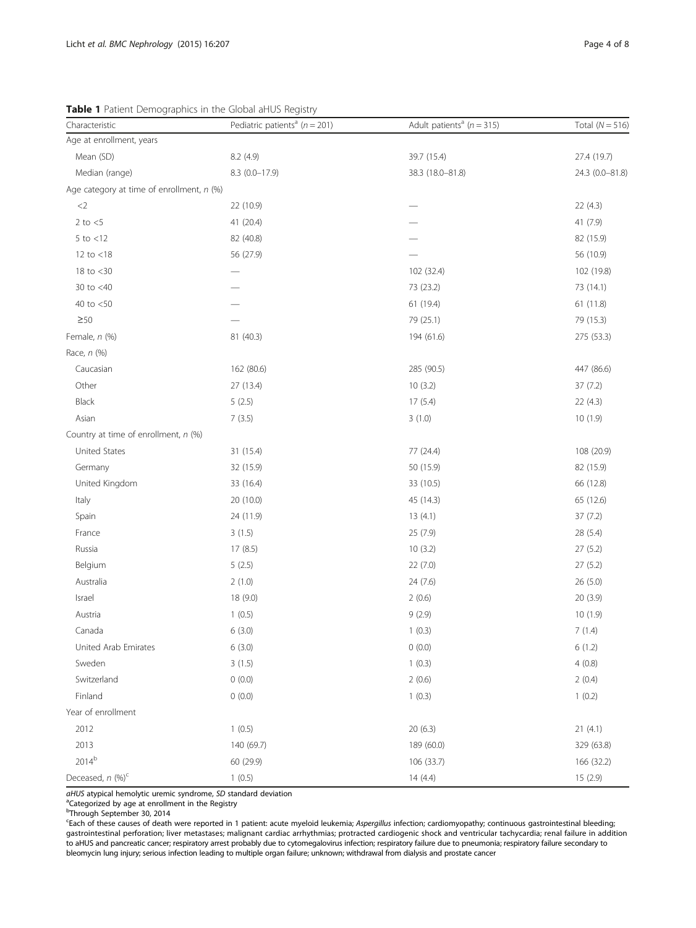<span id="page-3-0"></span>

| Characteristic                              | Pediatric patients <sup>a</sup> ( $n = 201$ ) | Adult patients <sup>a</sup> ( $n = 315$ ) | Total ( $N = 516$ ) |
|---------------------------------------------|-----------------------------------------------|-------------------------------------------|---------------------|
| Age at enrollment, years                    |                                               |                                           |                     |
| Mean (SD)                                   | 8.2 (4.9)                                     | 39.7 (15.4)                               | 27.4 (19.7)         |
| Median (range)                              | $8.3(0.0-17.9)$                               | 38.3 (18.0-81.8)                          | 24.3 (0.0-81.8)     |
| Age category at time of enrollment, $n$ (%) |                                               |                                           |                     |
| $<$ 2                                       | 22 (10.9)                                     |                                           | 22(4.3)             |
| 2 to $<$ 5                                  | 41 (20.4)                                     |                                           | 41 (7.9)            |
| $5$ to $<$ 12                               | 82 (40.8)                                     |                                           | 82 (15.9)           |
| $12$ to $<$ 18                              | 56 (27.9)                                     |                                           | 56 (10.9)           |
| 18 to <30                                   |                                               | 102 (32.4)                                | 102 (19.8)          |
| $30$ to $<$ 40                              |                                               | 73 (23.2)                                 | 73 (14.1)           |
| 40 to $<$ 50                                |                                               | 61 (19.4)                                 | 61(11.8)            |
| $\geq 50$                                   |                                               | 79 (25.1)                                 | 79 (15.3)           |
| Female, n (%)                               | 81 (40.3)                                     | 194 (61.6)                                | 275 (53.3)          |
| Race, n (%)                                 |                                               |                                           |                     |
| Caucasian                                   | 162 (80.6)                                    | 285 (90.5)                                | 447 (86.6)          |
| Other                                       | 27 (13.4)                                     | 10(3.2)                                   | 37(7.2)             |
| Black                                       | 5(2.5)                                        | 17(5.4)                                   | 22(4.3)             |
| Asian                                       | 7(3.5)                                        | 3(1.0)                                    | 10(1.9)             |
| Country at time of enrollment, n (%)        |                                               |                                           |                     |
| United States                               | 31 (15.4)                                     | 77 (24.4)                                 | 108 (20.9)          |
| Germany                                     | 32 (15.9)                                     | 50 (15.9)                                 | 82 (15.9)           |
| United Kingdom                              | 33 (16.4)                                     | 33 (10.5)                                 | 66 (12.8)           |
| Italy                                       | 20 (10.0)                                     | 45 (14.3)                                 | 65 (12.6)           |
| Spain                                       | 24 (11.9)                                     | 13(4.1)                                   | 37(7.2)             |
| France                                      | 3(1.5)                                        | 25 (7.9)                                  | 28 (5.4)            |
| Russia                                      | 17(8.5)                                       | 10(3.2)                                   | 27(5.2)             |
| Belgium                                     | 5(2.5)                                        | 22 (7.0)                                  | 27(5.2)             |
| Australia                                   | 2(1.0)                                        | 24(7.6)                                   | 26 (5.0)            |
| Israel                                      | 18 (9.0)                                      | 2(0.6)                                    | 20 (3.9)            |
| Austria                                     | 1(0.5)                                        | 9(2.9)                                    | 10(1.9)             |
| Canada                                      | 6(3.0)                                        | 1(0.3)                                    | 7(1.4)              |
| United Arab Emirates                        | 6(3.0)                                        | 0(0.0)                                    | 6(1.2)              |
| Sweden                                      | 3(1.5)                                        | 1(0.3)                                    | 4(0.8)              |
| Switzerland                                 | 0(0.0)                                        | 2(0.6)                                    | 2(0.4)              |
| Finland                                     | 0(0.0)                                        | 1(0.3)                                    | 1(0.2)              |
| Year of enrollment                          |                                               |                                           |                     |
| 2012                                        | 1(0.5)                                        | 20(6.3)                                   | 21(4.1)             |
| 2013                                        | 140 (69.7)                                    | 189 (60.0)                                | 329 (63.8)          |
| 2014 <sup>b</sup>                           | 60 (29.9)                                     | 106 (33.7)                                | 166 (32.2)          |
| Deceased, n (%) <sup>c</sup>                | 1(0.5)                                        | 14(4.4)                                   | 15 (2.9)            |

aHUS atypical hemolytic uremic syndrome, SD standard deviation

<sup>a</sup>Categorized by age at enrollment in the Registry

<sup>b</sup>Through September 30, 2014

<sup>c</sup>Each of these causes of death were reported in 1 patient: acute myeloid leukemia; As*pergillus* infection; cardiomyopathy; continuous gastrointestinal bleeding;<br>gastrointestinal perforation; liver metastases; malignant to aHUS and pancreatic cancer; respiratory arrest probably due to cytomegalovirus infection; respiratory failure due to pneumonia; respiratory failure secondary to bleomycin lung injury; serious infection leading to multiple organ failure; unknown; withdrawal from dialysis and prostate cancer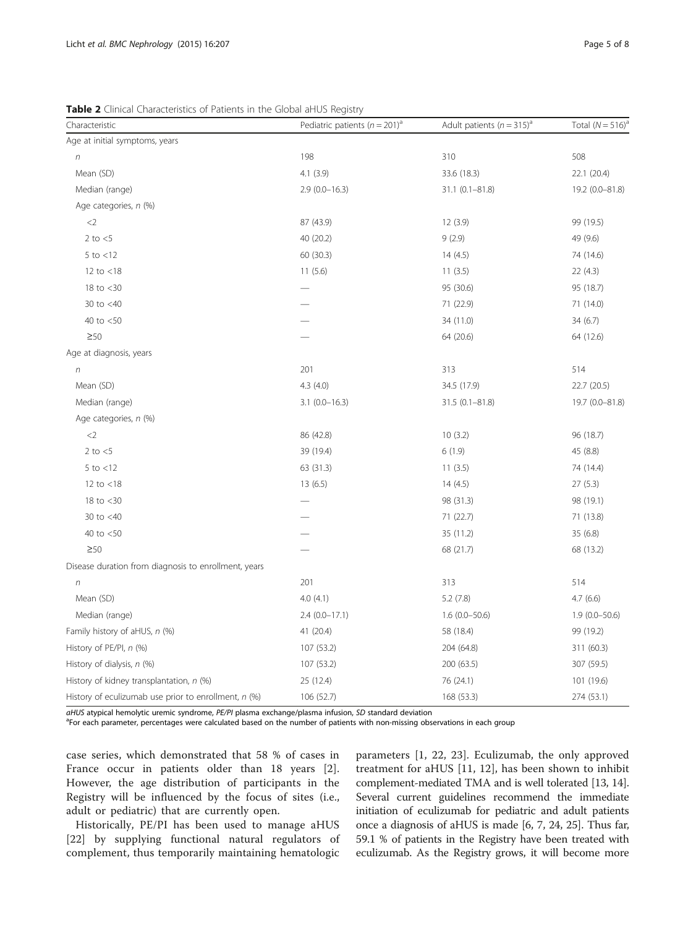<span id="page-4-0"></span>Table 2 Clinical Characteristics of Patients in the Global aHUS Registry

| Characteristic                                         | Pediatric patients $(n = 201)^{a}$ | Adult patients $(n = 315)^d$ | Total $(N = 516)^{z}$ |
|--------------------------------------------------------|------------------------------------|------------------------------|-----------------------|
| Age at initial symptoms, years                         |                                    |                              |                       |
| $\boldsymbol{n}$                                       | 198                                | 310                          | 508                   |
| Mean (SD)                                              | 4.1(3.9)                           | 33.6 (18.3)                  | 22.1 (20.4)           |
| Median (range)                                         | $2.9(0.0-16.3)$                    | $31.1 (0.1 - 81.8)$          | 19.2 (0.0-81.8)       |
| Age categories, n (%)                                  |                                    |                              |                       |
| $<$ 2                                                  | 87 (43.9)                          | 12(3.9)                      | 99 (19.5)             |
| 2 to $<$ 5                                             | 40 (20.2)                          | 9(2.9)                       | 49 (9.6)              |
| $5$ to $<$ 12                                          | 60 (30.3)                          | 14(4.5)                      | 74 (14.6)             |
| 12 to $<$ 18                                           | 11(5.6)                            | 11(3.5)                      | 22(4.3)               |
| 18 to $<$ 30                                           |                                    | 95 (30.6)                    | 95 (18.7)             |
| 30 to $<$ 40                                           |                                    | 71 (22.9)                    | 71 (14.0)             |
| 40 to $<$ 50                                           |                                    | 34 (11.0)                    | 34(6.7)               |
| $\geq 50$                                              |                                    | 64 (20.6)                    | 64 (12.6)             |
| Age at diagnosis, years                                |                                    |                              |                       |
| $\sqrt{n}$                                             | 201                                | 313                          | 514                   |
| Mean (SD)                                              | 4.3(4.0)                           | 34.5 (17.9)                  | 22.7 (20.5)           |
| Median (range)                                         | $3.1(0.0-16.3)$                    | $31.5(0.1 - 81.8)$           | 19.7 (0.0-81.8)       |
| Age categories, n (%)                                  |                                    |                              |                       |
| $<$ 2                                                  | 86 (42.8)                          | 10(3.2)                      | 96 (18.7)             |
| 2 to $<$ 5                                             | 39 (19.4)                          | 6(1.9)                       | 45 (8.8)              |
| $5$ to $<$ 12                                          | 63 (31.3)                          | 11(3.5)                      | 74 (14.4)             |
| 12 to $<$ 18                                           | 13(6.5)                            | 14(4.5)                      | 27(5.3)               |
| 18 to $<$ 30                                           |                                    | 98 (31.3)                    | 98 (19.1)             |
| 30 to $<$ 40                                           |                                    | 71(22.7)                     | 71 (13.8)             |
| 40 to $<$ 50                                           |                                    | 35 (11.2)                    | 35(6.8)               |
| $\geq 50$                                              |                                    | 68 (21.7)                    | 68 (13.2)             |
| Disease duration from diagnosis to enrollment, years   |                                    |                              |                       |
| $\eta$                                                 | 201                                | 313                          | 514                   |
| Mean (SD)                                              | 4.0(4.1)                           | 5.2(7.8)                     | 4.7(6.6)              |
| Median (range)                                         | $2.4(0.0-17.1)$                    | $1.6(0.0-50.6)$              | $1.9(0.0 - 50.6)$     |
| Family history of aHUS, n (%)                          | 41 (20.4)                          | 58 (18.4)                    | 99 (19.2)             |
| History of PE/PI, n (%)                                | 107 (53.2)                         | 204 (64.8)                   | 311 (60.3)            |
| History of dialysis, n (%)                             | 107 (53.2)                         | 200 (63.5)                   | 307 (59.5)            |
| History of kidney transplantation, n (%)               | 25 (12.4)                          | 76 (24.1)                    | 101 (19.6)            |
| History of eculizumab use prior to enrollment, $n$ (%) | 106 (52.7)                         | 168 (53.3)                   | 274 (53.1)            |

aHUS atypical hemolytic uremic syndrome, PE/PI plasma exchange/plasma infusion, SD standard deviation

<sup>a</sup>For each parameter, percentages were calculated based on the number of patients with non-missing observations in each group

case series, which demonstrated that 58 % of cases in France occur in patients older than 18 years [\[2](#page-6-0)]. However, the age distribution of participants in the Registry will be influenced by the focus of sites (i.e., adult or pediatric) that are currently open.

Historically, PE/PI has been used to manage aHUS [[22\]](#page-6-0) by supplying functional natural regulators of complement, thus temporarily maintaining hematologic

parameters [\[1](#page-6-0), [22, 23](#page-6-0)]. Eculizumab, the only approved treatment for aHUS [[11, 12\]](#page-6-0), has been shown to inhibit complement-mediated TMA and is well tolerated [\[13, 14](#page-6-0)]. Several current guidelines recommend the immediate initiation of eculizumab for pediatric and adult patients once a diagnosis of aHUS is made [[6, 7, 24, 25](#page-6-0)]. Thus far, 59.1 % of patients in the Registry have been treated with eculizumab. As the Registry grows, it will become more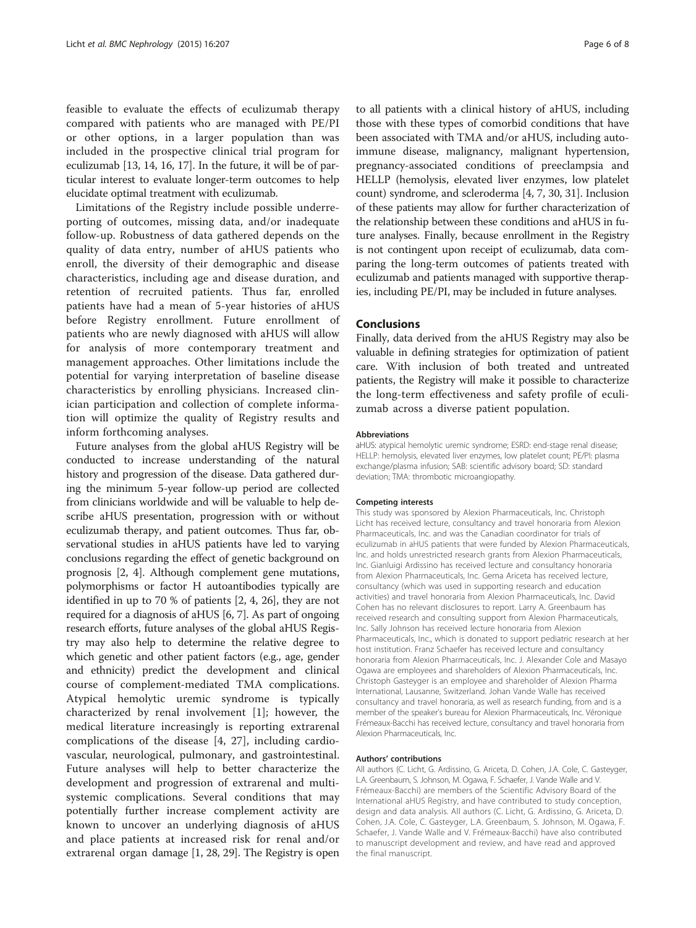feasible to evaluate the effects of eculizumab therapy compared with patients who are managed with PE/PI or other options, in a larger population than was included in the prospective clinical trial program for eculizumab [\[13](#page-6-0), [14, 16](#page-6-0), [17\]](#page-6-0). In the future, it will be of particular interest to evaluate longer-term outcomes to help elucidate optimal treatment with eculizumab.

Limitations of the Registry include possible underreporting of outcomes, missing data, and/or inadequate follow-up. Robustness of data gathered depends on the quality of data entry, number of aHUS patients who enroll, the diversity of their demographic and disease characteristics, including age and disease duration, and retention of recruited patients. Thus far, enrolled patients have had a mean of 5-year histories of aHUS before Registry enrollment. Future enrollment of patients who are newly diagnosed with aHUS will allow for analysis of more contemporary treatment and management approaches. Other limitations include the potential for varying interpretation of baseline disease characteristics by enrolling physicians. Increased clinician participation and collection of complete information will optimize the quality of Registry results and inform forthcoming analyses.

Future analyses from the global aHUS Registry will be conducted to increase understanding of the natural history and progression of the disease. Data gathered during the minimum 5-year follow-up period are collected from clinicians worldwide and will be valuable to help describe aHUS presentation, progression with or without eculizumab therapy, and patient outcomes. Thus far, observational studies in aHUS patients have led to varying conclusions regarding the effect of genetic background on prognosis [[2, 4\]](#page-6-0). Although complement gene mutations, polymorphisms or factor H autoantibodies typically are identified in up to 70 % of patients [[2, 4, 26](#page-6-0)], they are not required for a diagnosis of aHUS [\[6](#page-6-0), [7\]](#page-6-0). As part of ongoing research efforts, future analyses of the global aHUS Registry may also help to determine the relative degree to which genetic and other patient factors (e.g., age, gender and ethnicity) predict the development and clinical course of complement-mediated TMA complications. Atypical hemolytic uremic syndrome is typically characterized by renal involvement [\[1](#page-6-0)]; however, the medical literature increasingly is reporting extrarenal complications of the disease [\[4](#page-6-0), [27\]](#page-6-0), including cardiovascular, neurological, pulmonary, and gastrointestinal. Future analyses will help to better characterize the development and progression of extrarenal and multisystemic complications. Several conditions that may potentially further increase complement activity are known to uncover an underlying diagnosis of aHUS and place patients at increased risk for renal and/or extrarenal organ damage [[1,](#page-6-0) [28](#page-7-0), [29\]](#page-7-0). The Registry is open

to all patients with a clinical history of aHUS, including those with these types of comorbid conditions that have been associated with TMA and/or aHUS, including autoimmune disease, malignancy, malignant hypertension, pregnancy-associated conditions of preeclampsia and HELLP (hemolysis, elevated liver enzymes, low platelet count) syndrome, and scleroderma [\[4, 7,](#page-6-0) [30](#page-7-0), [31\]](#page-7-0). Inclusion of these patients may allow for further characterization of the relationship between these conditions and aHUS in future analyses. Finally, because enrollment in the Registry is not contingent upon receipt of eculizumab, data comparing the long-term outcomes of patients treated with eculizumab and patients managed with supportive therapies, including PE/PI, may be included in future analyses.

#### Conclusions

Finally, data derived from the aHUS Registry may also be valuable in defining strategies for optimization of patient care. With inclusion of both treated and untreated patients, the Registry will make it possible to characterize the long-term effectiveness and safety profile of eculizumab across a diverse patient population.

#### **Abbreviations**

aHUS: atypical hemolytic uremic syndrome; ESRD: end-stage renal disease; HELLP: hemolysis, elevated liver enzymes, low platelet count; PE/PI: plasma exchange/plasma infusion; SAB: scientific advisory board; SD: standard deviation; TMA: thrombotic microangiopathy.

#### Competing interests

This study was sponsored by Alexion Pharmaceuticals, Inc. Christoph Licht has received lecture, consultancy and travel honoraria from Alexion Pharmaceuticals, Inc. and was the Canadian coordinator for trials of eculizumab in aHUS patients that were funded by Alexion Pharmaceuticals, Inc. and holds unrestricted research grants from Alexion Pharmaceuticals, Inc. Gianluigi Ardissino has received lecture and consultancy honoraria from Alexion Pharmaceuticals, Inc. Gema Ariceta has received lecture, consultancy (which was used in supporting research and education activities) and travel honoraria from Alexion Pharmaceuticals, Inc. David Cohen has no relevant disclosures to report. Larry A. Greenbaum has received research and consulting support from Alexion Pharmaceuticals, Inc. Sally Johnson has received lecture honoraria from Alexion Pharmaceuticals, Inc., which is donated to support pediatric research at her host institution. Franz Schaefer has received lecture and consultancy honoraria from Alexion Pharmaceuticals, Inc. J. Alexander Cole and Masayo Ogawa are employees and shareholders of Alexion Pharmaceuticals, Inc. Christoph Gasteyger is an employee and shareholder of Alexion Pharma International, Lausanne, Switzerland. Johan Vande Walle has received consultancy and travel honoraria, as well as research funding, from and is a member of the speaker's bureau for Alexion Pharmaceuticals, Inc. Véronique Frémeaux-Bacchi has received lecture, consultancy and travel honoraria from Alexion Pharmaceuticals, Inc.

#### Authors' contributions

All authors (C. Licht, G. Ardissino, G. Ariceta, D. Cohen, J.A. Cole, C. Gasteyger, L.A. Greenbaum, S. Johnson, M. Ogawa, F. Schaefer, J. Vande Walle and V. Frémeaux-Bacchi) are members of the Scientific Advisory Board of the International aHUS Registry, and have contributed to study conception, design and data analysis. All authors (C. Licht, G. Ardissino, G. Ariceta, D. Cohen, J.A. Cole, C. Gasteyger, L.A. Greenbaum, S. Johnson, M. Ogawa, F. Schaefer, J. Vande Walle and V. Frémeaux-Bacchi) have also contributed to manuscript development and review, and have read and approved the final manuscript.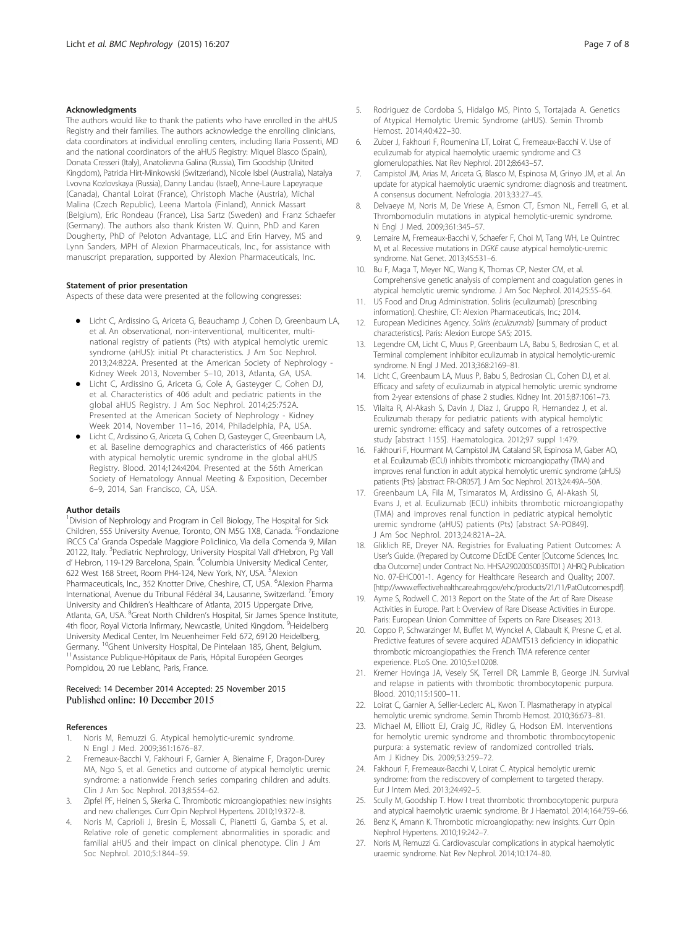#### <span id="page-6-0"></span>Acknowledgments

The authors would like to thank the patients who have enrolled in the aHUS Registry and their families. The authors acknowledge the enrolling clinicians, data coordinators at individual enrolling centers, including Ilaria Possenti, MD and the national coordinators of the aHUS Registry: Miquel Blasco (Spain), Donata Cresseri (Italy), Anatolievna Galina (Russia), Tim Goodship (United Kingdom), Patricia Hirt-Minkowski (Switzerland), Nicole Isbel (Australia), Natalya Lvovna Kozlovskaya (Russia), Danny Landau (Israel), Anne-Laure Lapeyraque (Canada), Chantal Loirat (France), Christoph Mache (Austria), Michal Malina (Czech Republic), Leena Martola (Finland), Annick Massart (Belgium), Eric Rondeau (France), Lisa Sartz (Sweden) and Franz Schaefer (Germany). The authors also thank Kristen W. Quinn, PhD and Karen Dougherty, PhD of Peloton Advantage, LLC and Erin Harvey, MS and Lynn Sanders, MPH of Alexion Pharmaceuticals, Inc., for assistance with manuscript preparation, supported by Alexion Pharmaceuticals, Inc.

#### Statement of prior presentation

Aspects of these data were presented at the following congresses:

- Licht C, Ardissino G, Ariceta G, Beauchamp J, Cohen D, Greenbaum LA, et al. An observational, non-interventional, multicenter, multinational registry of patients (Pts) with atypical hemolytic uremic syndrome (aHUS): initial Pt characteristics. J Am Soc Nephrol. 2013;24:822A. Presented at the American Society of Nephrology - Kidney Week 2013, November 5–10, 2013, Atlanta, GA, USA.
- Licht C, Ardissino G, Ariceta G, Cole A, Gasteyger C, Cohen DJ, et al. Characteristics of 406 adult and pediatric patients in the global aHUS Registry. J Am Soc Nephrol. 2014;25:752A. Presented at the American Society of Nephrology - Kidney Week 2014, November 11–16, 2014, Philadelphia, PA, USA.
- Licht C, Ardissino G, Ariceta G, Cohen D, Gasteyger C, Greenbaum LA, et al. Baseline demographics and characteristics of 466 patients with atypical hemolytic uremic syndrome in the global aHUS Registry. Blood. 2014;124:4204. Presented at the 56th American Society of Hematology Annual Meeting & Exposition, December 6–9, 2014, San Francisco, CA, USA.

#### Author details

<sup>1</sup>Division of Nephrology and Program in Cell Biology, The Hospital for Sick Children, 555 University Avenue, Toronto, ON M5G 1X8, Canada. <sup>2</sup>Fondazione IRCCS Ca' Granda Ospedale Maggiore Policlinico, Via della Comenda 9, Milan 20122, Italy. <sup>3</sup> Pediatric Nephrology, University Hospital Vall d'Hebron, Pg Vall d' Hebron, 119-129 Barcelona, Spain. <sup>4</sup>Columbia University Medical Center, 622 West 168 Street, Room PH4-124, New York, NY, USA. <sup>5</sup>Alexion Pharmaceuticals, Inc., 352 Knotter Drive, Cheshire, CT, USA. <sup>6</sup>Alexion Pharma International, Avenue du Tribunal Fédéral 34, Lausanne, Switzerland. <sup>7</sup>Emory University and Children's Healthcare of Atlanta, 2015 Uppergate Drive, Atlanta, GA, USA. <sup>8</sup>Great North Children's Hospital, Sir James Spence Institute, 4th floor, Royal Victoria Infirmary, Newcastle, United Kingdom. <sup>9</sup>Heidelberg University Medical Center, Im Neuenheimer Feld 672, 69120 Heidelberg, Germany. <sup>10</sup>Ghent University Hospital, De Pintelaan 185, Ghent, Belgium.<br><sup>11</sup>Assistance Publique-Hôpitaux de Paris, Hôpital Européen Georges Pompidou, 20 rue Leblanc, Paris, France.

#### Received: 14 December 2014 Accepted: 25 November 2015 Published online: 10 December 2015

#### References

- Noris M, Remuzzi G. Atypical hemolytic-uremic syndrome. N Engl J Med. 2009;361:1676–87.
- 2. Fremeaux-Bacchi V, Fakhouri F, Garnier A, Bienaime F, Dragon-Durey MA, Ngo S, et al. Genetics and outcome of atypical hemolytic uremic syndrome: a nationwide French series comparing children and adults. Clin J Am Soc Nephrol. 2013;8:554–62.
- 3. Zipfel PF, Heinen S, Skerka C. Thrombotic microangiopathies: new insights and new challenges. Curr Opin Nephrol Hypertens. 2010;19:372–8.
- 4. Noris M, Caprioli J, Bresin E, Mossali C, Pianetti G, Gamba S, et al. Relative role of genetic complement abnormalities in sporadic and familial aHUS and their impact on clinical phenotype. Clin J Am Soc Nephrol. 2010;5:1844–59.
- 5. Rodriguez de Cordoba S, Hidalgo MS, Pinto S, Tortajada A. Genetics of Atypical Hemolytic Uremic Syndrome (aHUS). Semin Thromb Hemost. 2014;40:422–30.
- Zuber J, Fakhouri F, Roumenina LT, Loirat C, Fremeaux-Bacchi V. Use of eculizumab for atypical haemolytic uraemic syndrome and C3 glomerulopathies. Nat Rev Nephrol. 2012;8:643–57.
- 7. Campistol JM, Arias M, Ariceta G, Blasco M, Espinosa M, Grinyo JM, et al. An update for atypical haemolytic uraemic syndrome: diagnosis and treatment. A consensus document. Nefrologia. 2013;33:27–45.
- 8. Delvaeye M, Noris M, De Vriese A, Esmon CT, Esmon NL, Ferrell G, et al. Thrombomodulin mutations in atypical hemolytic-uremic syndrome. N Engl J Med. 2009;361:345–57.
- 9. Lemaire M, Fremeaux-Bacchi V, Schaefer F, Choi M, Tang WH, Le Quintrec M, et al. Recessive mutations in DGKE cause atypical hemolytic-uremic syndrome. Nat Genet. 2013;45:531–6.
- 10. Bu F, Maga T, Meyer NC, Wang K, Thomas CP, Nester CM, et al. Comprehensive genetic analysis of complement and coagulation genes in atypical hemolytic uremic syndrome. J Am Soc Nephrol. 2014;25:55–64.
- 11. US Food and Drug Administration. Soliris (eculizumab) [prescribing information]. Cheshire, CT: Alexion Pharmaceuticals, Inc.; 2014.
- 12. European Medicines Agency. Soliris (eculizumab) [summary of product characteristics]. Paris: Alexion Europe SAS; 2015.
- 13. Legendre CM, Licht C, Muus P, Greenbaum LA, Babu S, Bedrosian C, et al. Terminal complement inhibitor eculizumab in atypical hemolytic-uremic syndrome. N Engl J Med. 2013;368:2169–81.
- 14. Licht C, Greenbaum LA, Muus P, Babu S, Bedrosian CL, Cohen DJ, et al. Efficacy and safety of eculizumab in atypical hemolytic uremic syndrome from 2-year extensions of phase 2 studies. Kidney Int. 2015;87:1061–73.
- 15. Vilalta R, Al-Akash S, Davin J, Diaz J, Gruppo R, Hernandez J, et al. Eculizumab therapy for pediatric patients with atypical hemolytic uremic syndrome: efficacy and safety outcomes of a retrospective study [abstract 1155]. Haematologica. 2012;97 suppl 1:479.
- 16. Fakhouri F, Hourmant M, Campistol JM, Cataland SR, Espinosa M, Gaber AO, et al. Eculizumab (ECU) inhibits thrombotic microangiopathy (TMA) and improves renal function in adult atypical hemolytic uremic syndrome (aHUS) patients (Pts) [abstract FR-OR057]. J Am Soc Nephrol. 2013;24:49A–50A.
- 17. Greenbaum LA, Fila M, Tsimaratos M, Ardissino G, Al-Akash SI, Evans J, et al. Eculizumab (ECU) inhibits thrombotic microangiopathy (TMA) and improves renal function in pediatric atypical hemolytic uremic syndrome (aHUS) patients (Pts) [abstract SA-PO849]. J Am Soc Nephrol. 2013;24:821A–2A.
- 18. Gliklich RE, Dreyer NA. Registries for Evaluating Patient Outcomes: A User's Guide. (Prepared by Outcome DEcIDE Center [Outcome Sciences, Inc. dba Outcome] under Contract No. HHSA29020050035IT01.) AHRQ Publication No. 07-EHC001-1. Agency for Healthcare Research and Quality; 2007. [\[http://www.effectivehealthcare.ahrq.gov/ehc/products/21/11/PatOutcomes.pdf\]](http://www.effectivehealthcare.ahrq.gov/ehc/products/21/11/PatOutcomes.pdf).
- 19. Ayme S, Rodwell C. 2013 Report on the State of the Art of Rare Disease Activities in Europe. Part I: Overview of Rare Disease Activities in Europe. Paris: European Union Committee of Experts on Rare Diseases; 2013.
- 20. Coppo P, Schwarzinger M, Buffet M, Wynckel A, Clabault K, Presne C, et al. Predictive features of severe acquired ADAMTS13 deficiency in idiopathic thrombotic microangiopathies: the French TMA reference center experience. PLoS One. 2010;5:e10208.
- 21. Kremer Hovinga JA, Vesely SK, Terrell DR, Lammle B, George JN. Survival and relapse in patients with thrombotic thrombocytopenic purpura. Blood. 2010;115:1500–11.
- 22. Loirat C, Garnier A, Sellier-Leclerc AL, Kwon T. Plasmatherapy in atypical hemolytic uremic syndrome. Semin Thromb Hemost. 2010;36:673–81.
- 23. Michael M, Elliott EJ, Craig JC, Ridley G, Hodson EM. Interventions for hemolytic uremic syndrome and thrombotic thrombocytopenic purpura: a systematic review of randomized controlled trials. Am J Kidney Dis. 2009;53:259–72.
- 24. Fakhouri F, Fremeaux-Bacchi V, Loirat C. Atypical hemolytic uremic syndrome: from the rediscovery of complement to targeted therapy. Eur J Intern Med. 2013;24:492–5.
- 25. Scully M, Goodship T. How I treat thrombotic thrombocytopenic purpura and atypical haemolytic uraemic syndrome. Br J Haematol. 2014;164:759–66.
- 26. Benz K, Amann K. Thrombotic microangiopathy: new insights. Curr Opin Nephrol Hypertens. 2010;19:242–7.
- 27. Noris M, Remuzzi G. Cardiovascular complications in atypical haemolytic uraemic syndrome. Nat Rev Nephrol. 2014;10:174–80.